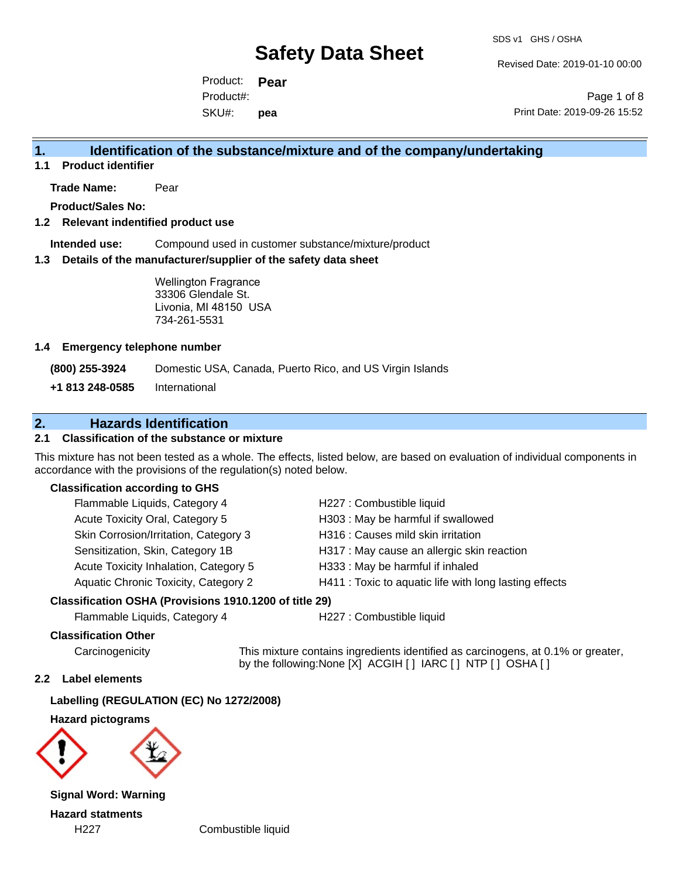Revised Date: 2019-01-10 00:00

Product: **Pear** SKU#: Product#: **pea**

Page 1 of 8 Print Date: 2019-09-26 15:52

# **1. Identification of the substance/mixture and of the company/undertaking**

**1.1 Product identifier**

**Trade Name:** Pear

**Product/Sales No:**

#### **1.2 Relevant indentified product use**

**Intended use:** Compound used in customer substance/mixture/product

#### **1.3 Details of the manufacturer/supplier of the safety data sheet**

Wellington Fragrance 33306 Glendale St. Livonia, MI 48150 USA 734-261-5531

#### **1.4 Emergency telephone number**

**(800) 255-3924** Domestic USA, Canada, Puerto Rico, and US Virgin Islands

**+1 813 248-0585** International

# **2. Hazards Identification**

## **2.1 Classification of the substance or mixture**

This mixture has not been tested as a whole. The effects, listed below, are based on evaluation of individual components in accordance with the provisions of the regulation(s) noted below.

#### **Classification according to GHS**

| Flammable Liquids, Category 4               | H227 : Combustible liquid                              |
|---------------------------------------------|--------------------------------------------------------|
| Acute Toxicity Oral, Category 5             | H303 : May be harmful if swallowed                     |
| Skin Corrosion/Irritation, Category 3       | H316 : Causes mild skin irritation                     |
| Sensitization, Skin, Category 1B            | H317 : May cause an allergic skin reaction             |
| Acute Toxicity Inhalation, Category 5       | H333: May be harmful if inhaled                        |
| <b>Aquatic Chronic Toxicity, Category 2</b> | H411 : Toxic to aquatic life with long lasting effects |
|                                             |                                                        |

### **Classification OSHA (Provisions 1910.1200 of title 29)**

Flammable Liquids, Category 4 H227 : Combustible liquid

#### **Classification Other**

Carcinogenicity This mixture contains ingredients identified as carcinogens, at 0.1% or greater, by the following:None [X] ACGIH [ ] IARC [ ] NTP [ ] OSHA [ ]

#### **2.2 Label elements**

**Labelling (REGULATION (EC) No 1272/2008)**

**Hazard pictograms**



**Signal Word: Warning Hazard statments**

H227 Combustible liquid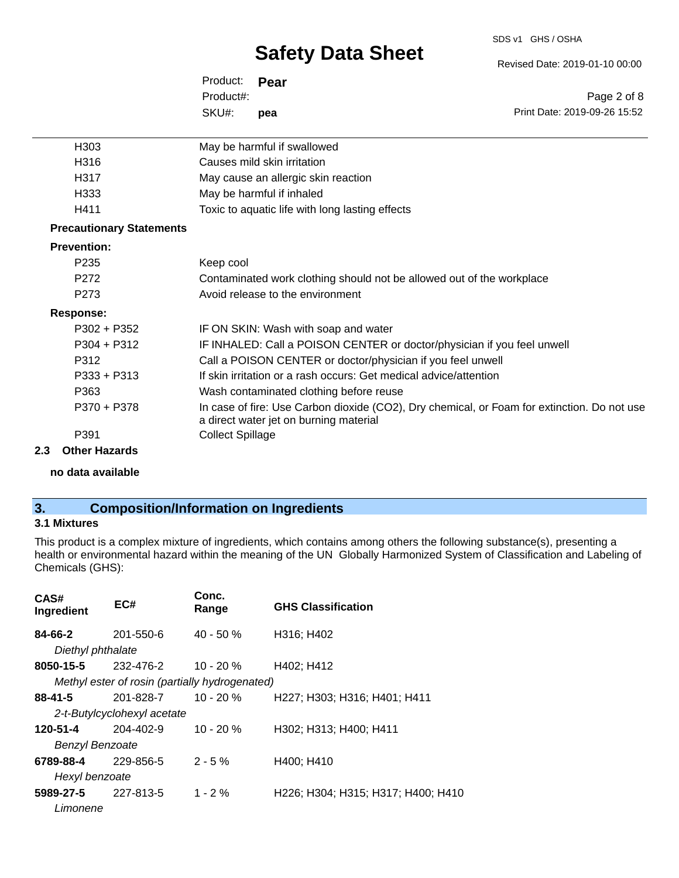#### SDS v1 GHS / OSHA

# **Safety Data Sheet**

Revised Date: 2019-01-10 00:00

| Product: <b>Pear</b> |     |                              |
|----------------------|-----|------------------------------|
| Product#:            |     | Page 2 of 8                  |
| SKU#:                | pea | Print Date: 2019-09-26 15:52 |

| H <sub>303</sub>                | May be harmful if swallowed                                                                                                           |
|---------------------------------|---------------------------------------------------------------------------------------------------------------------------------------|
| H316                            | Causes mild skin irritation                                                                                                           |
| H317                            | May cause an allergic skin reaction                                                                                                   |
| H333                            | May be harmful if inhaled                                                                                                             |
| H411                            | Toxic to aquatic life with long lasting effects                                                                                       |
| <b>Precautionary Statements</b> |                                                                                                                                       |
| <b>Prevention:</b>              |                                                                                                                                       |
| P <sub>2</sub> 35               | Keep cool                                                                                                                             |
| P272                            | Contaminated work clothing should not be allowed out of the workplace                                                                 |
| P273                            | Avoid release to the environment                                                                                                      |
| Response:                       |                                                                                                                                       |
| $P302 + P352$                   | IF ON SKIN: Wash with soap and water                                                                                                  |
| $P304 + P312$                   | IF INHALED: Call a POISON CENTER or doctor/physician if you feel unwell                                                               |
| P312                            | Call a POISON CENTER or doctor/physician if you feel unwell                                                                           |
| $P333 + P313$                   | If skin irritation or a rash occurs: Get medical advice/attention                                                                     |
| P363                            | Wash contaminated clothing before reuse                                                                                               |
| P370 + P378                     | In case of fire: Use Carbon dioxide (CO2), Dry chemical, or Foam for extinction. Do not use<br>a direct water jet on burning material |
| P391                            | <b>Collect Spillage</b>                                                                                                               |
| Othor Hozarde                   |                                                                                                                                       |

## **2.3 Other Hazards**

**no data available**

# **3. Composition/Information on Ingredients**

## **3.1 Mixtures**

This product is a complex mixture of ingredients, which contains among others the following substance(s), presenting a health or environmental hazard within the meaning of the UN Globally Harmonized System of Classification and Labeling of Chemicals (GHS):

| CAS#<br>Ingredient         | EC#                                            | Conc.<br>Range | <b>GHS Classification</b>          |
|----------------------------|------------------------------------------------|----------------|------------------------------------|
| 84-66-2                    | 201-550-6                                      | $40 - 50 \%$   | H316; H402                         |
| Diethyl phthalate          |                                                |                |                                    |
| 8050-15-5                  | 232-476-2                                      | 10 - 20 %      | H402; H412                         |
|                            | Methyl ester of rosin (partially hydrogenated) |                |                                    |
| 88-41-5                    | 201-828-7                                      | $10 - 20 \%$   | H227; H303; H316; H401; H411       |
|                            | 2-t-Butylcyclohexyl acetate                    |                |                                    |
| 120-51-4                   | 204-402-9                                      | $10 - 20%$     | H302; H313; H400; H411             |
| <b>Benzyl Benzoate</b>     |                                                |                |                                    |
| 6789-88-4                  | 229-856-5                                      | $2 - 5%$       | H400; H410                         |
| Hexyl benzoate             |                                                |                |                                    |
| <b>5989-27-5</b> 227-813-5 |                                                | $1 - 2 \%$     | H226; H304; H315; H317; H400; H410 |
| Limonene                   |                                                |                |                                    |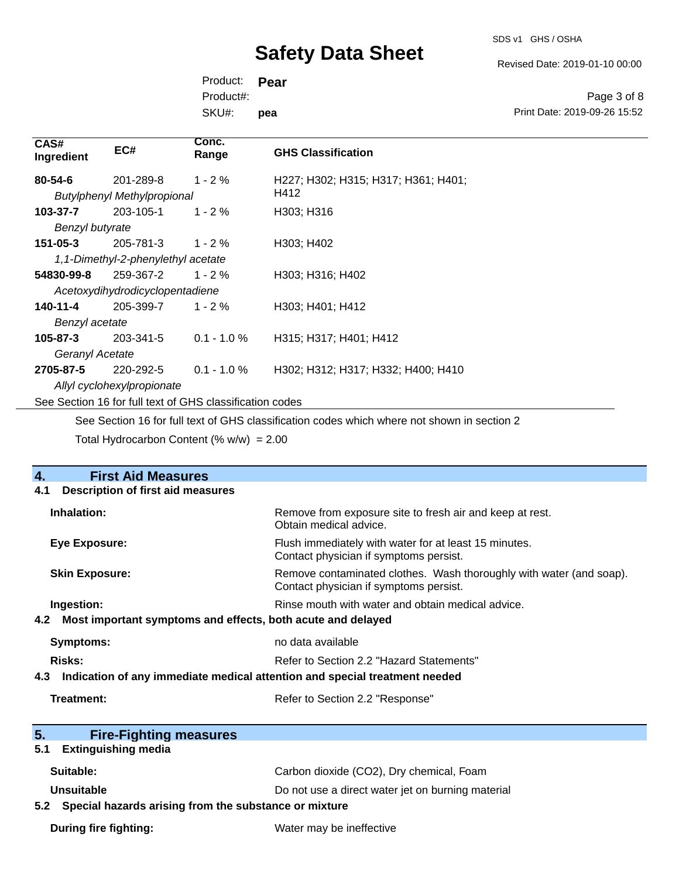SDS v1 GHS / OSHA

Revised Date: 2019-01-10 00:00

Product: **Pear** SKU#: Product#: **pea**

Page 3 of 8 Print Date: 2019-09-26 15:52

| CAS#<br>Ingredient                                       | EC#                                | Conc.<br>Range | <b>GHS Classification</b>           |
|----------------------------------------------------------|------------------------------------|----------------|-------------------------------------|
| $80 - 54 - 6$                                            | 201-289-8                          | $1 - 2 \%$     | H227; H302; H315; H317; H361; H401; |
|                                                          | <b>Butylphenyl Methylpropional</b> |                | H412                                |
| 103-37-7                                                 | 203-105-1                          | $1 - 2%$       | H303; H316                          |
| Benzyl butyrate                                          |                                    |                |                                     |
| 151-05-3                                                 | 205-781-3                          | $1 - 2 \%$     | H303; H402                          |
| 1,1-Dimethyl-2-phenylethyl acetate                       |                                    |                |                                     |
| 54830-99-8                                               | 259-367-2                          | $1 - 2 \%$     | H303; H316; H402                    |
| Acetoxydihydrodicyclopentadiene                          |                                    |                |                                     |
| 140-11-4                                                 | 205-399-7                          | $1 - 2 \%$     | H303; H401; H412                    |
| Benzyl acetate                                           |                                    |                |                                     |
| 105-87-3                                                 | 203-341-5                          | $0.1 - 1.0 \%$ | H315; H317; H401; H412              |
| Geranyl Acetate                                          |                                    |                |                                     |
| 2705-87-5                                                | 220-292-5                          | $0.1 - 1.0 %$  | H302; H312; H317; H332; H400; H410  |
| Allyl cyclohexylpropionate                               |                                    |                |                                     |
| See Section 16 for full text of GHS classification codes |                                    |                |                                     |

See Section 16 for full text of GHS classification codes which where not shown in section 2

Total Hydrocarbon Content  $(\% w/w) = 2.00$ 

| <b>First Aid Measures</b><br>4.                                                   |                                                                                                               |  |
|-----------------------------------------------------------------------------------|---------------------------------------------------------------------------------------------------------------|--|
| <b>Description of first aid measures</b><br>4.1                                   |                                                                                                               |  |
| Inhalation:                                                                       | Remove from exposure site to fresh air and keep at rest.<br>Obtain medical advice.                            |  |
| Eye Exposure:                                                                     | Flush immediately with water for at least 15 minutes.<br>Contact physician if symptoms persist.               |  |
| <b>Skin Exposure:</b>                                                             | Remove contaminated clothes. Wash thoroughly with water (and soap).<br>Contact physician if symptoms persist. |  |
| Ingestion:                                                                        | Rinse mouth with water and obtain medical advice.                                                             |  |
| Most important symptoms and effects, both acute and delayed<br>4.2                |                                                                                                               |  |
| <b>Symptoms:</b>                                                                  | no data available                                                                                             |  |
| <b>Risks:</b><br>Refer to Section 2.2 "Hazard Statements"                         |                                                                                                               |  |
| Indication of any immediate medical attention and special treatment needed<br>4.3 |                                                                                                               |  |
| <b>Treatment:</b><br>Refer to Section 2.2 "Response"                              |                                                                                                               |  |
| 5 <sub>1</sub><br><b>Fire-Fighting measures</b>                                   |                                                                                                               |  |
| <b>Extinguishing media</b><br>5.1                                                 |                                                                                                               |  |
| Suitable:                                                                         | Carbon dioxide (CO2), Dry chemical, Foam                                                                      |  |
| <b>Unsuitable</b>                                                                 | Do not use a direct water jet on burning material                                                             |  |
| 5.2 Special hazards arising from the substance or mixture                         |                                                                                                               |  |
| <b>During fire fighting:</b>                                                      | Water may be ineffective                                                                                      |  |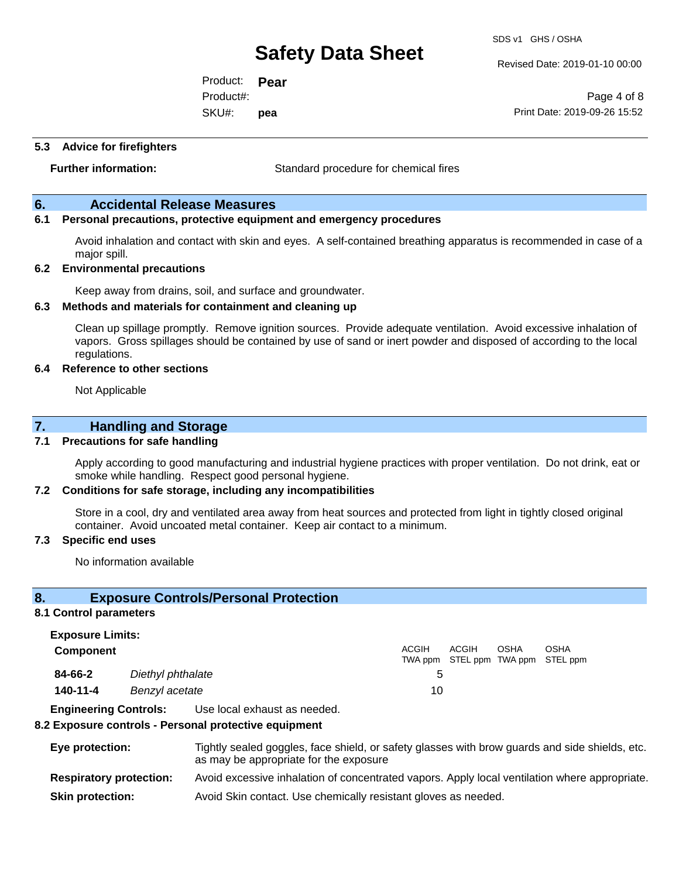Revised Date: 2019-01-10 00:00

Product: **Pear** SKU#: Product#: **pea**

Page 4 of 8 Print Date: 2019-09-26 15:52

#### **5.3 Advice for firefighters**

**Further information:** Standard procedure for chemical fires

### **6. Accidental Release Measures**

### **6.1 Personal precautions, protective equipment and emergency procedures**

Avoid inhalation and contact with skin and eyes. A self-contained breathing apparatus is recommended in case of a major spill.

#### **6.2 Environmental precautions**

Keep away from drains, soil, and surface and groundwater.

#### **6.3 Methods and materials for containment and cleaning up**

Clean up spillage promptly. Remove ignition sources. Provide adequate ventilation. Avoid excessive inhalation of vapors. Gross spillages should be contained by use of sand or inert powder and disposed of according to the local regulations.

#### **6.4 Reference to other sections**

Not Applicable

## **7. Handling and Storage**

#### **7.1 Precautions for safe handling**

Apply according to good manufacturing and industrial hygiene practices with proper ventilation. Do not drink, eat or smoke while handling. Respect good personal hygiene.

#### **7.2 Conditions for safe storage, including any incompatibilities**

Store in a cool, dry and ventilated area away from heat sources and protected from light in tightly closed original container. Avoid uncoated metal container. Keep air contact to a minimum.

#### **7.3 Specific end uses**

No information available

### **8. Exposure Controls/Personal Protection**

#### **8.1 Control parameters**

**Exposure Limits: Component** ACGIH TWA ppm STEL ppm TWA ppm STEL ppm ACGIH OSHA OSHA **84-66-2** *Diethyl phthalate* 5 **140-11-4** *Benzyl acetate* 10

**Engineering Controls:** Use local exhaust as needed.

#### **8.2 Exposure controls - Personal protective equipment**

| Eye protection:                | Tightly sealed goggles, face shield, or safety glasses with brow guards and side shields, etc.<br>as may be appropriate for the exposure |
|--------------------------------|------------------------------------------------------------------------------------------------------------------------------------------|
| <b>Respiratory protection:</b> | Avoid excessive inhalation of concentrated vapors. Apply local ventilation where appropriate.                                            |
| <b>Skin protection:</b>        | Avoid Skin contact. Use chemically resistant gloves as needed.                                                                           |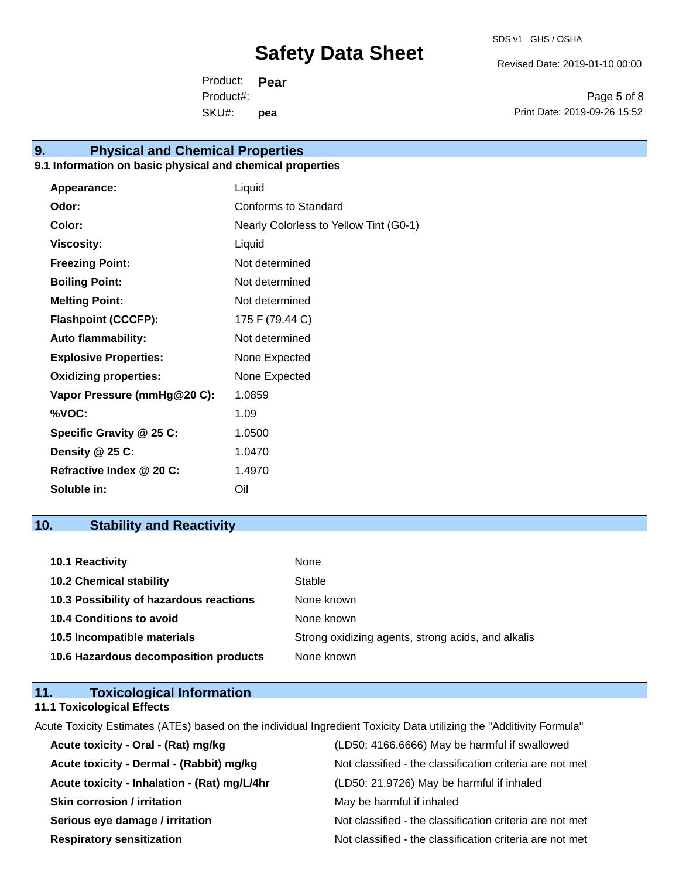Revised Date: 2019-01-10 00:00

Product: **Pear** SKU#: Product#: **pea**

Page 5 of 8 Print Date: 2019-09-26 15:52

# **9. Physical and Chemical Properties**

## **9.1 Information on basic physical and chemical properties**

| Appearance:                  | Liquid                                 |
|------------------------------|----------------------------------------|
| Odor:                        | Conforms to Standard                   |
| Color:                       | Nearly Colorless to Yellow Tint (G0-1) |
| <b>Viscosity:</b>            | Liquid                                 |
| <b>Freezing Point:</b>       | Not determined                         |
| <b>Boiling Point:</b>        | Not determined                         |
| <b>Melting Point:</b>        | Not determined                         |
| <b>Flashpoint (CCCFP):</b>   | 175 F (79.44 C)                        |
| <b>Auto flammability:</b>    | Not determined                         |
| <b>Explosive Properties:</b> | None Expected                          |
| <b>Oxidizing properties:</b> | None Expected                          |
| Vapor Pressure (mmHg@20 C):  | 1.0859                                 |
| %VOC:                        | 1.09                                   |
| Specific Gravity @ 25 C:     | 1.0500                                 |
| Density @ 25 C:              | 1.0470                                 |
| Refractive Index @ 20 C:     | 1.4970                                 |
| Soluble in:                  | Oil                                    |

# **10. Stability and Reactivity**

| <b>10.1 Reactivity</b>                  | None                                               |
|-----------------------------------------|----------------------------------------------------|
| <b>10.2 Chemical stability</b>          | Stable                                             |
| 10.3 Possibility of hazardous reactions | None known                                         |
| <b>10.4 Conditions to avoid</b>         | None known                                         |
| 10.5 Incompatible materials             | Strong oxidizing agents, strong acids, and alkalis |
| 10.6 Hazardous decomposition products   | None known                                         |

# **11. Toxicological Information**

## **11.1 Toxicological Effects**

Acute Toxicity Estimates (ATEs) based on the individual Ingredient Toxicity Data utilizing the "Additivity Formula"

| (LD50: 4166.6666) May be harmful if swallowed            |
|----------------------------------------------------------|
| Not classified - the classification criteria are not met |
| (LD50: 21.9726) May be harmful if inhaled                |
| May be harmful if inhaled                                |
| Not classified - the classification criteria are not met |
| Not classified - the classification criteria are not met |
|                                                          |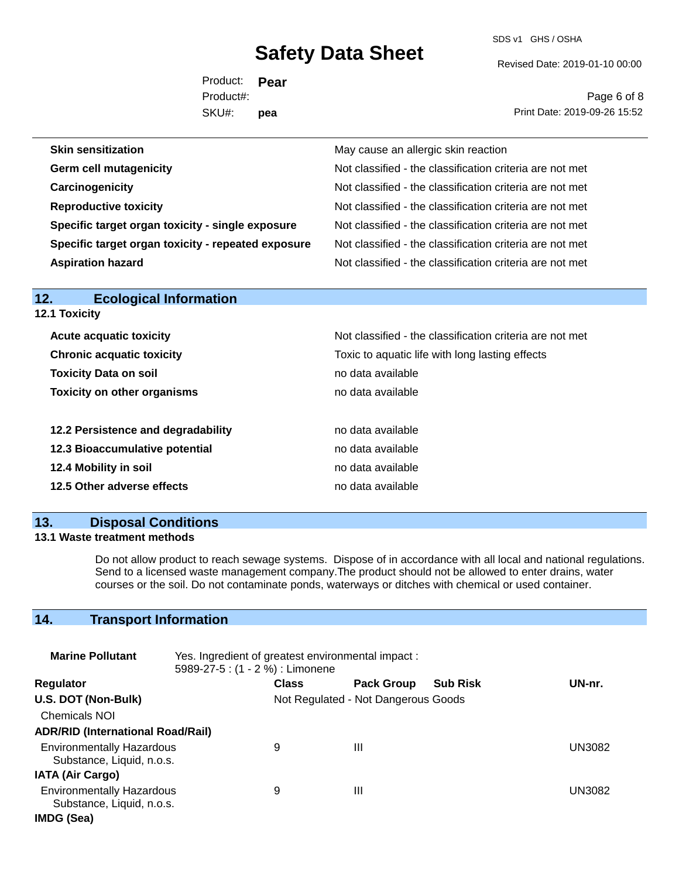SDS v1 GHS / OSHA

Revised Date: 2019-01-10 00:00

Product: **Pear** SKU#: Product#: **pea**

Page 6 of 8 Print Date: 2019-09-26 15:52

| <b>Skin sensitization</b>                          | May cause an allergic skin reaction                      |
|----------------------------------------------------|----------------------------------------------------------|
| <b>Germ cell mutagenicity</b>                      | Not classified - the classification criteria are not met |
| Carcinogenicity                                    | Not classified - the classification criteria are not met |
| <b>Reproductive toxicity</b>                       | Not classified - the classification criteria are not met |
| Specific target organ toxicity - single exposure   | Not classified - the classification criteria are not met |
| Specific target organ toxicity - repeated exposure | Not classified - the classification criteria are not met |
| <b>Aspiration hazard</b>                           | Not classified - the classification criteria are not met |

| <b>12.1 Toxicity</b>               |                                                          |
|------------------------------------|----------------------------------------------------------|
| <b>Acute acquatic toxicity</b>     | Not classified - the classification criteria are not met |
| <b>Chronic acquatic toxicity</b>   | Toxic to aquatic life with long lasting effects          |
| <b>Toxicity Data on soil</b>       | no data available                                        |
| <b>Toxicity on other organisms</b> | no data available                                        |
| 12.2 Persistence and degradability | no data available                                        |
| 12.3 Bioaccumulative potential     | no data available                                        |
| 12.4 Mobility in soil              | no data available                                        |
| 12.5 Other adverse effects         | no data available                                        |

# **13. Disposal Conditions**

**12. Ecological Information** 

## **13.1 Waste treatment methods**

Do not allow product to reach sewage systems. Dispose of in accordance with all local and national regulations. Send to a licensed waste management company.The product should not be allowed to enter drains, water courses or the soil. Do not contaminate ponds, waterways or ditches with chemical or used container.

# **14. Transport Information**

| <b>Marine Pollutant</b>                                       | Yes. Ingredient of greatest environmental impact:<br>5989-27-5 : (1 - 2 %) : Limonene |              |                                     |                 |        |
|---------------------------------------------------------------|---------------------------------------------------------------------------------------|--------------|-------------------------------------|-----------------|--------|
| <b>Regulator</b>                                              |                                                                                       | <b>Class</b> | <b>Pack Group</b>                   | <b>Sub Risk</b> | UN-nr. |
| U.S. DOT (Non-Bulk)                                           |                                                                                       |              | Not Regulated - Not Dangerous Goods |                 |        |
| <b>Chemicals NOI</b>                                          |                                                                                       |              |                                     |                 |        |
| <b>ADR/RID (International Road/Rail)</b>                      |                                                                                       |              |                                     |                 |        |
| <b>Environmentally Hazardous</b><br>Substance, Liquid, n.o.s. |                                                                                       | 9            | Ш                                   |                 | UN3082 |
| <b>IATA (Air Cargo)</b>                                       |                                                                                       |              |                                     |                 |        |
| <b>Environmentally Hazardous</b><br>Substance, Liquid, n.o.s. |                                                                                       | 9            | Ш                                   |                 | UN3082 |
| IMDG (Sea)                                                    |                                                                                       |              |                                     |                 |        |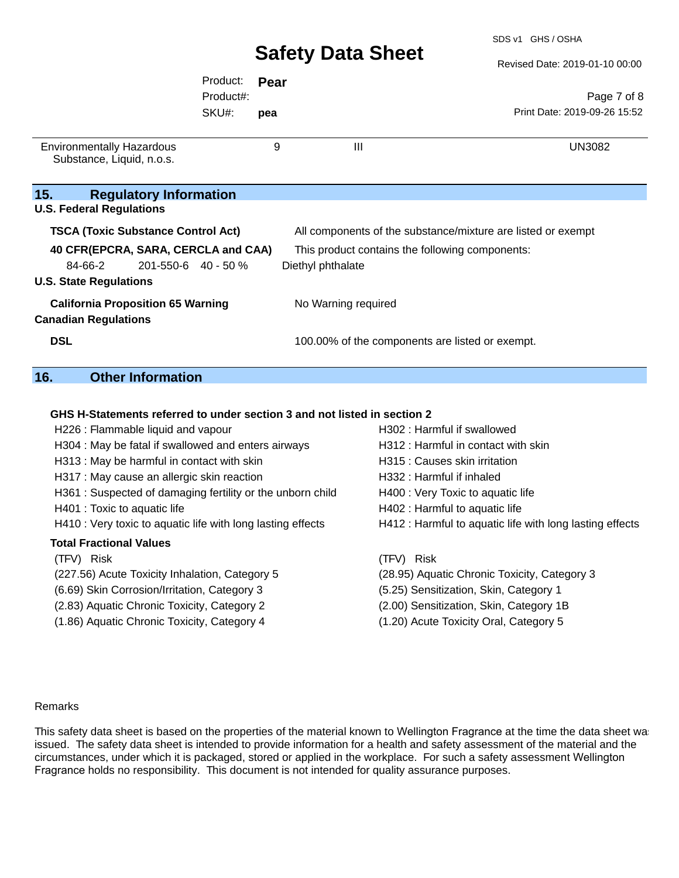SDS v1 GHS / OSHA

|                                                               |           |      |                                                              | Revised Date: 2019-01-10 00:00 |
|---------------------------------------------------------------|-----------|------|--------------------------------------------------------------|--------------------------------|
|                                                               | Product:  | Pear |                                                              |                                |
|                                                               | Product#: |      |                                                              | Page 7 of 8                    |
|                                                               | SKU#:     | pea  |                                                              | Print Date: 2019-09-26 15:52   |
| <b>Environmentally Hazardous</b><br>Substance, Liquid, n.o.s. |           | 9    | $\mathbf{III}$                                               | <b>UN3082</b>                  |
| 15.<br><b>Regulatory Information</b>                          |           |      |                                                              |                                |
| <b>U.S. Federal Regulations</b>                               |           |      |                                                              |                                |
| <b>TSCA (Toxic Substance Control Act)</b>                     |           |      | All components of the substance/mixture are listed or exempt |                                |
| 40 CFR(EPCRA, SARA, CERCLA and CAA)                           |           |      | This product contains the following components:              |                                |
| 84-66-2<br>$201 - 550 - 6$ 40 - 50 %                          |           |      | Diethyl phthalate                                            |                                |
| <b>U.S. State Regulations</b>                                 |           |      |                                                              |                                |
| <b>California Proposition 65 Warning</b>                      |           |      | No Warning required                                          |                                |
| <b>Canadian Regulations</b>                                   |           |      |                                                              |                                |
| <b>DSL</b>                                                    |           |      | 100.00% of the components are listed or exempt.              |                                |

## **16. Other Information**

### **GHS H-Statements referred to under section 3 and not listed in section 2**

| H226 : Flammable liquid and vapour                          | H302: Harmful if swallowed                               |
|-------------------------------------------------------------|----------------------------------------------------------|
| H304 : May be fatal if swallowed and enters airways         | H312 : Harmful in contact with skin                      |
| H313 : May be harmful in contact with skin                  | H315 : Causes skin irritation                            |
| H317 : May cause an allergic skin reaction                  | H332 : Harmful if inhaled                                |
| H361 : Suspected of damaging fertility or the unborn child  | H400 : Very Toxic to aquatic life                        |
| H401 : Toxic to aquatic life                                | H402 : Harmful to aquatic life                           |
| H410 : Very toxic to aquatic life with long lasting effects | H412 : Harmful to aquatic life with long lasting effects |
|                                                             |                                                          |
| <b>Total Fractional Values</b>                              |                                                          |
| (TFV) Risk                                                  | (TFV) Risk                                               |
| (227.56) Acute Toxicity Inhalation, Category 5              | (28.95) Aquatic Chronic Toxicity, Category 3             |
| (6.69) Skin Corrosion/Irritation, Category 3                | (5.25) Sensitization, Skin, Category 1                   |
| (2.83) Aquatic Chronic Toxicity, Category 2                 | (2.00) Sensitization, Skin, Category 1B                  |
| (1.86) Aquatic Chronic Toxicity, Category 4                 | (1.20) Acute Toxicity Oral, Category 5                   |

#### Remarks

This safety data sheet is based on the properties of the material known to Wellington Fragrance at the time the data sheet was issued. The safety data sheet is intended to provide information for a health and safety assessment of the material and the circumstances, under which it is packaged, stored or applied in the workplace. For such a safety assessment Wellington Fragrance holds no responsibility. This document is not intended for quality assurance purposes.